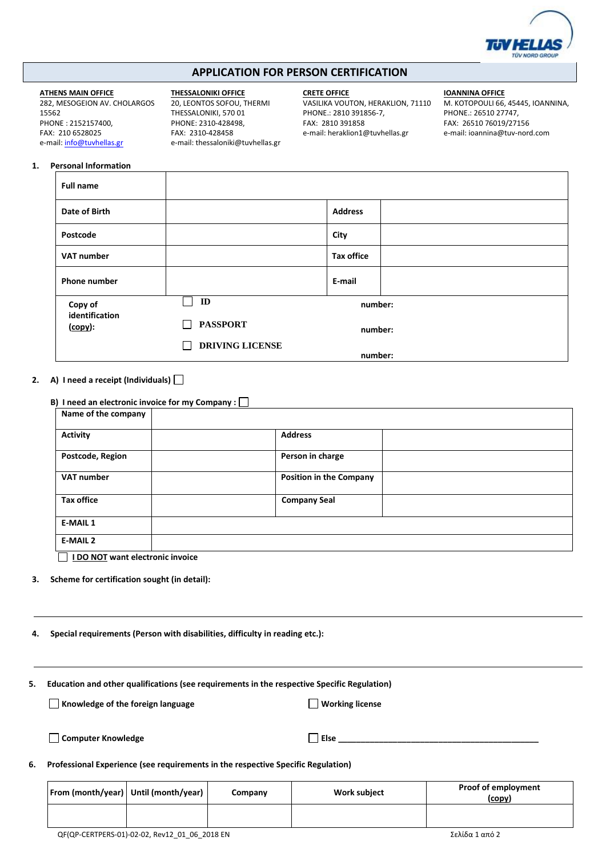

# **APPLICATION FOR PERSON CERTIFICATION**

### **ATHENS MAIN OFFICE**

282, MESOGEION AV. CHOLARGOS 15562 PHONE : 2152157400, FAX: 210 6528025 e-mail[: info@tuvhellas.gr](mailto:info@tuvhellas.gr)

**THESSALONIKI OFFICE** 20, LEONTOS SOFOU, THERMI

THESSALONIKI, 570 01 PHONE: 2310-428498, FAX: 2310-428458 e-mail[: thessaloniki@tuvhellas.gr](mailto:thessaloniki@tuvhellas.gr)

 $\blacksquare$ 

**CRETE OFFICE** VASILIKA VOUTON, HERAKLION, 71110 PHONE.: 2810 391856-7, FAX: 2810 391858

e-mail: heraklion1@tuvhellas.gr

### **IOANNINA OFFICE**

Μ. ΚOTOPOULI 66, 45445, ΙOANNINA, PHONE.: 26510 27747, FAX: 26510 76019/27156 e-mail: ioannina@tuv-nord.com

## **1. Personal Information**

| <b>Full name</b>                     |                                        |                   |
|--------------------------------------|----------------------------------------|-------------------|
| Date of Birth                        |                                        | <b>Address</b>    |
| Postcode                             |                                        | City              |
| VAT number                           |                                        | <b>Tax office</b> |
| Phone number                         |                                        | E-mail            |
| Copy of<br>identification<br>(copy): | ID                                     | number:           |
|                                      | <b>PASSPORT</b><br>$\mathsf{L}$        | number:           |
|                                      | <b>DRIVING LICENSE</b><br>$\mathsf{L}$ | number:           |

**2. Α) I need a receipt (Individuals)**

| B) I need an electronic invoice for my Company : [ |                                |
|----------------------------------------------------|--------------------------------|
| Name of the company                                |                                |
| <b>Activity</b>                                    | <b>Address</b>                 |
| Postcode, Region                                   | Person in charge               |
| <b>VAT number</b>                                  | <b>Position in the Company</b> |
| <b>Tax office</b>                                  | <b>Company Seal</b>            |
| <b>E-MAIL 1</b>                                    |                                |
| <b>E-MAIL 2</b>                                    |                                |

 **I DO NOT want electronic invoice**

- **3. Scheme for certification sought (in detail):**
- **4. Special requirements (Person with disabilities, difficulty in reading etc.):**
- **5. Education and other qualifications (see requirements in the respective Specific Regulation)**

**Knowledge of the foreign language Working license Working license** 

| <b>Computer Knowledge</b> | Else |
|---------------------------|------|
|---------------------------|------|

**6. Professional Experience (see requirements in the respective Specific Regulation)**

| From (month/year)   Until (month/year) | Company | <b>Work subject</b> | <b>Proof of employment</b><br>(copy) |
|----------------------------------------|---------|---------------------|--------------------------------------|
|                                        |         |                     |                                      |